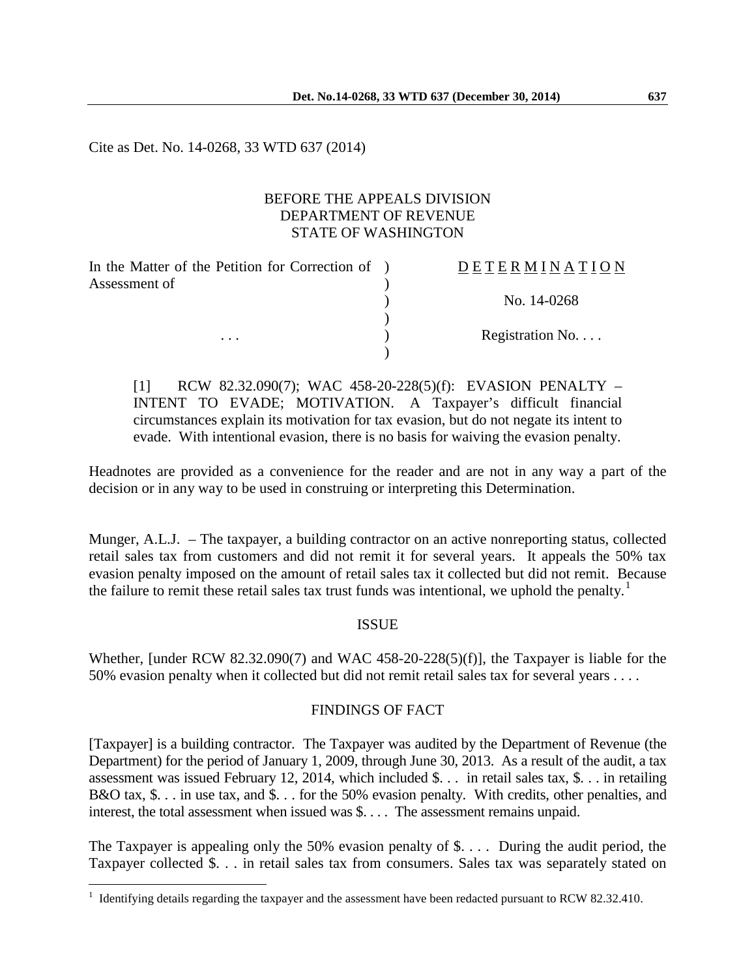Cite as Det. No. 14-0268, 33 WTD 637 (2014)

# BEFORE THE APPEALS DIVISION DEPARTMENT OF REVENUE STATE OF WASHINGTON

| In the Matter of the Petition for Correction of ) | DETERMINATION   |
|---------------------------------------------------|-----------------|
| Assessment of                                     |                 |
|                                                   | No. 14-0268     |
|                                                   |                 |
| $\cdots$                                          | Registration No |
|                                                   |                 |

[1] RCW 82.32.090(7); WAC 458-20-228(5)(f): EVASION PENALTY – INTENT TO EVADE; MOTIVATION. A Taxpayer's difficult financial circumstances explain its motivation for tax evasion, but do not negate its intent to evade. With intentional evasion, there is no basis for waiving the evasion penalty.

Headnotes are provided as a convenience for the reader and are not in any way a part of the decision or in any way to be used in construing or interpreting this Determination.

Munger, A.L.J. – The taxpayer, a building contractor on an active nonreporting status, collected retail sales tax from customers and did not remit it for several years. It appeals the 50% tax evasion penalty imposed on the amount of retail sales tax it collected but did not remit. Because the failure to remit these retail sales tax trust funds was intentional, we uphold the penalty.<sup>[1](#page-0-0)</sup>

# ISSUE

Whether, [under RCW 82.32.090(7) and WAC 458-20-228(5)(f)], the Taxpayer is liable for the 50% evasion penalty when it collected but did not remit retail sales tax for several years . . . .

# FINDINGS OF FACT

[Taxpayer] is a building contractor. The Taxpayer was audited by the Department of Revenue (the Department) for the period of January 1, 2009, through June 30, 2013. As a result of the audit, a tax assessment was issued February 12, 2014, which included \$. . . in retail sales tax, \$. . . in retailing B&O tax, \$. . . in use tax, and \$. . . for the 50% evasion penalty. With credits, other penalties, and interest, the total assessment when issued was \$. . . . The assessment remains unpaid.

The Taxpayer is appealing only the 50% evasion penalty of \$.... During the audit period, the Taxpayer collected \$. . . in retail sales tax from consumers. Sales tax was separately stated on

 $\overline{a}$ 

<span id="page-0-0"></span> $1$  Identifying details regarding the taxpayer and the assessment have been redacted pursuant to RCW 82.32.410.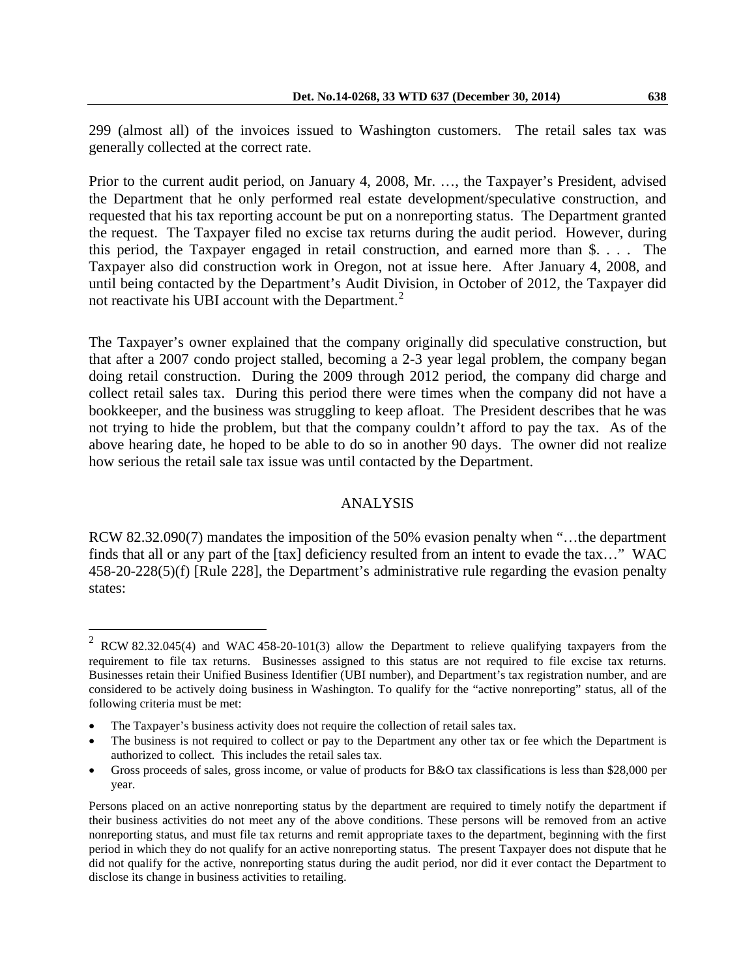299 (almost all) of the invoices issued to Washington customers. The retail sales tax was generally collected at the correct rate.

Prior to the current audit period, on January 4, 2008, Mr. …, the Taxpayer's President, advised the Department that he only performed real estate development/speculative construction, and requested that his tax reporting account be put on a nonreporting status. The Department granted the request. The Taxpayer filed no excise tax returns during the audit period. However, during this period, the Taxpayer engaged in retail construction, and earned more than \$. . . . The Taxpayer also did construction work in Oregon, not at issue here. After January 4, 2008, and until being contacted by the Department's Audit Division, in October of 2012, the Taxpayer did not reactivate his UBI account with the Department.<sup>[2](#page-1-0)</sup>

The Taxpayer's owner explained that the company originally did speculative construction, but that after a 2007 condo project stalled, becoming a 2-3 year legal problem, the company began doing retail construction. During the 2009 through 2012 period, the company did charge and collect retail sales tax. During this period there were times when the company did not have a bookkeeper, and the business was struggling to keep afloat. The President describes that he was not trying to hide the problem, but that the company couldn't afford to pay the tax. As of the above hearing date, he hoped to be able to do so in another 90 days. The owner did not realize how serious the retail sale tax issue was until contacted by the Department.

### ANALYSIS

RCW 82.32.090(7) mandates the imposition of the 50% evasion penalty when "...the department" finds that all or any part of the [tax] deficiency resulted from an intent to evade the tax..." WAC 458-20-228(5)(f) [Rule 228], the Department's administrative rule regarding the evasion penalty states:

 $\overline{a}$ 

<span id="page-1-0"></span><sup>2</sup> RCW 82.32.045(4) and WAC 458-20-101(3) allow the Department to relieve qualifying taxpayers from the requirement to file tax returns. Businesses assigned to this status are not required to file excise tax returns. Businesses retain their Unified Business Identifier (UBI number), and Department's tax registration number, and are considered to be actively doing business in Washington. To qualify for the "active nonreporting" status, all of the following criteria must be met:

The Taxpayer's business activity does not require the collection of retail sales tax.

The business is not required to collect or pay to the Department any other tax or fee which the Department is authorized to collect. This includes the retail sales tax.

Gross proceeds of sales, gross income, or value of products for B&O tax classifications is less than \$28,000 per year.

Persons placed on an active nonreporting status by the department are required to timely notify the department if their business activities do not meet any of the above conditions. These persons will be removed from an active nonreporting status, and must file tax returns and remit appropriate taxes to the department, beginning with the first period in which they do not qualify for an active nonreporting status. The present Taxpayer does not dispute that he did not qualify for the active, nonreporting status during the audit period, nor did it ever contact the Department to disclose its change in business activities to retailing.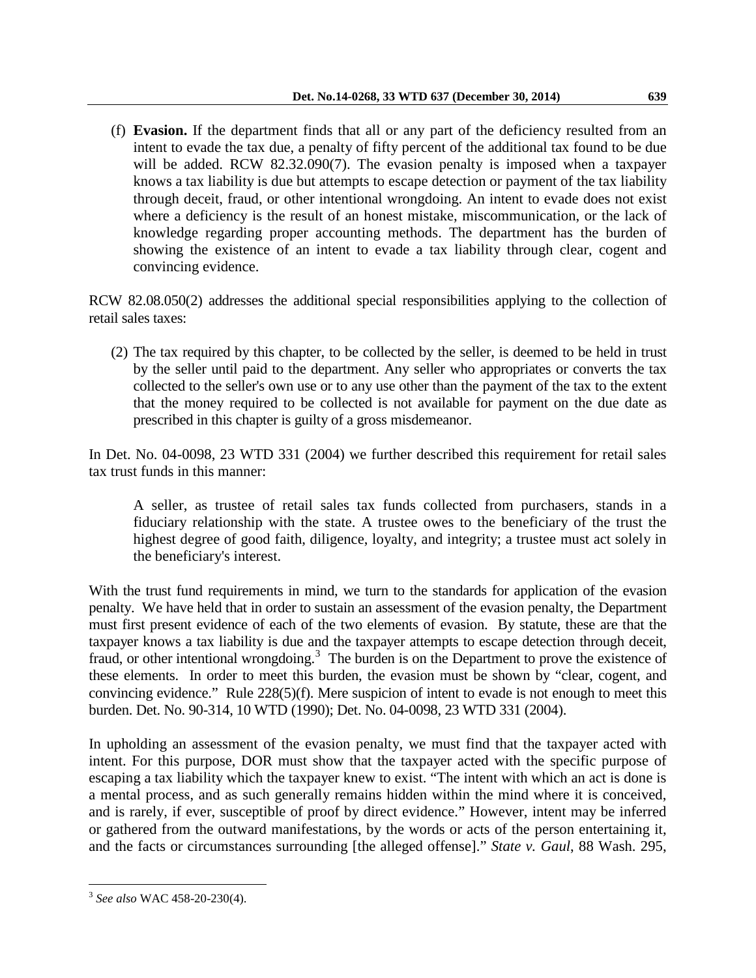(f) **Evasion.** If the department finds that all or any part of the deficiency resulted from an intent to evade the tax due, a penalty of fifty percent of the additional tax found to be due will be added. RCW 82.32.090(7). The evasion penalty is imposed when a taxpayer knows a tax liability is due but attempts to escape detection or payment of the tax liability through deceit, fraud, or other intentional wrongdoing. An intent to evade does not exist where a deficiency is the result of an honest mistake, miscommunication, or the lack of knowledge regarding proper accounting methods. The department has the burden of showing the existence of an intent to evade a tax liability through clear, cogent and convincing evidence.

RCW 82.08.050(2) addresses the additional special responsibilities applying to the collection of retail sales taxes:

(2) The tax required by this chapter, to be collected by the seller, is deemed to be held in trust by the seller until paid to the department. Any seller who appropriates or converts the tax collected to the seller's own use or to any use other than the payment of the tax to the extent that the money required to be collected is not available for payment on the due date as prescribed in this chapter is guilty of a gross misdemeanor.

In Det. No. 04-0098, 23 WTD 331 (2004) we further described this requirement for retail sales tax trust funds in this manner:

A seller, as trustee of retail sales tax funds collected from purchasers, stands in a fiduciary relationship with the state. A trustee owes to the beneficiary of the trust the highest degree of good faith, diligence, loyalty, and integrity; a trustee must act solely in the beneficiary's interest.

With the trust fund requirements in mind, we turn to the standards for application of the evasion penalty. We have held that in order to sustain an assessment of the evasion penalty, the Department must first present evidence of each of the two elements of evasion. By statute, these are that the taxpayer knows a tax liability is due and the taxpayer attempts to escape detection through deceit, fraud, or other intentional wrongdoing.<sup>[3](#page-2-0)</sup> The burden is on the Department to prove the existence of these elements. In order to meet this burden, the evasion must be shown by "clear, cogent, and convincing evidence." Rule 228(5)(f). Mere suspicion of intent to evade is not enough to meet this burden. Det. No. 90-314, 10 WTD (1990); Det. No. 04-0098, 23 WTD 331 (2004).

In upholding an assessment of the evasion penalty, we must find that the taxpayer acted with intent. For this purpose, DOR must show that the taxpayer acted with the specific purpose of escaping a tax liability which the taxpayer knew to exist. "The intent with which an act is done is a mental process, and as such generally remains hidden within the mind where it is conceived, and is rarely, if ever, susceptible of proof by direct evidence." However, intent may be inferred or gathered from the outward manifestations, by the words or acts of the person entertaining it, and the facts or circumstances surrounding [the alleged offense]." *State v. Gaul*, 88 Wash. 295,

 $\overline{a}$ 

<span id="page-2-0"></span><sup>3</sup> *See also* WAC 458-20-230(4).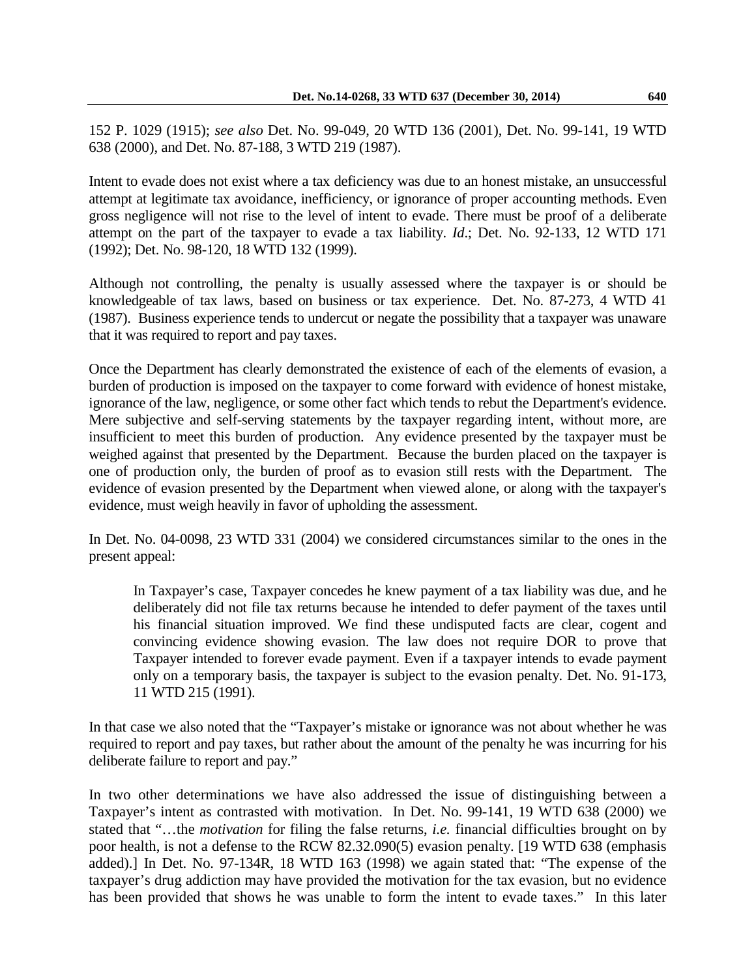152 P. 1029 (1915); *see also* Det. No. 99-049, 20 WTD 136 (2001), Det. No. 99-141, 19 WTD 638 (2000), and Det. No. 87-188, 3 WTD 219 (1987).

Intent to evade does not exist where a tax deficiency was due to an honest mistake, an unsuccessful attempt at legitimate tax avoidance, inefficiency, or ignorance of proper accounting methods. Even gross negligence will not rise to the level of intent to evade. There must be proof of a deliberate attempt on the part of the taxpayer to evade a tax liability. *Id*.; Det. No. 92-133, 12 WTD 171 (1992); Det. No. 98-120, 18 WTD 132 (1999).

Although not controlling, the penalty is usually assessed where the taxpayer is or should be knowledgeable of tax laws, based on business or tax experience. Det. No. 87-273, 4 WTD 41 (1987). Business experience tends to undercut or negate the possibility that a taxpayer was unaware that it was required to report and pay taxes.

Once the Department has clearly demonstrated the existence of each of the elements of evasion, a burden of production is imposed on the taxpayer to come forward with evidence of honest mistake, ignorance of the law, negligence, or some other fact which tends to rebut the Department's evidence. Mere subjective and self-serving statements by the taxpayer regarding intent, without more, are insufficient to meet this burden of production. Any evidence presented by the taxpayer must be weighed against that presented by the Department. Because the burden placed on the taxpayer is one of production only, the burden of proof as to evasion still rests with the Department. The evidence of evasion presented by the Department when viewed alone, or along with the taxpayer's evidence, must weigh heavily in favor of upholding the assessment.

In Det. No. 04-0098, 23 WTD 331 (2004) we considered circumstances similar to the ones in the present appeal:

In Taxpayer's case, Taxpayer concedes he knew payment of a tax liability was due, and he deliberately did not file tax returns because he intended to defer payment of the taxes until his financial situation improved. We find these undisputed facts are clear, cogent and convincing evidence showing evasion. The law does not require DOR to prove that Taxpayer intended to forever evade payment. Even if a taxpayer intends to evade payment only on a temporary basis, the taxpayer is subject to the evasion penalty. Det. No. 91-173, 11 WTD 215 (1991).

In that case we also noted that the "Taxpayer's mistake or ignorance was not about whether he was required to report and pay taxes, but rather about the amount of the penalty he was incurring for his deliberate failure to report and pay."

In two other determinations we have also addressed the issue of distinguishing between a Taxpayer's intent as contrasted with motivation. In Det. No. 99-141, 19 WTD 638 (2000) we stated that "…the *motivation* for filing the false returns, *i.e.* financial difficulties brought on by poor health, is not a defense to the RCW 82.32.090(5) evasion penalty. [19 WTD 638 (emphasis added).] In Det. No. 97-134R, 18 WTD 163 (1998) we again stated that: "The expense of the taxpayer's drug addiction may have provided the motivation for the tax evasion, but no evidence has been provided that shows he was unable to form the intent to evade taxes." In this later